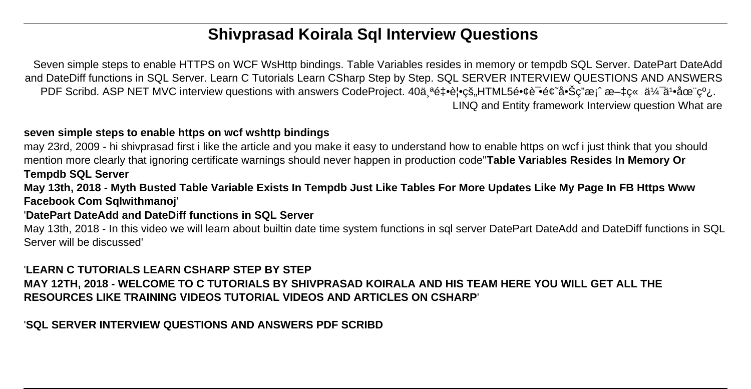# **Shivprasad Koirala Sql Interview Questions**

Seven simple steps to enable HTTPS on WCF WsHttp bindings. Table Variables resides in memory or tempdb SQL Server. DatePart DateAdd and DateDiff functions in SQL Server. Learn C Tutorials Learn CSharp Step by Step. SQL SERVER INTERVIEW QUESTIONS AND ANSWERS PDF Scribd. ASP NET MVC interview questions with answers CodeProject. 40äªé‡•èl•cš"HTML5镢试é¢~啊c"æ¡^æ–‡c« 伯ä1•在线. LINQ and Entity framework Interview question What are

#### **seven simple steps to enable https on wcf wshttp bindings**

may 23rd, 2009 - hi shivprasad first i like the article and you make it easy to understand how to enable https on wcf i just think that you should mention more clearly that ignoring certificate warnings should never happen in production code''**Table Variables Resides In Memory Or Tempdb SQL Server**

**May 13th, 2018 - Myth Busted Table Variable Exists In Tempdb Just Like Tables For More Updates Like My Page In FB Https Www Facebook Com Sqlwithmanoj**'

#### '**DatePart DateAdd and DateDiff functions in SQL Server**

May 13th, 2018 - In this video we will learn about builtin date time system functions in sql server DatePart DateAdd and DateDiff functions in SQL Server will be discussed'

'**LEARN C TUTORIALS LEARN CSHARP STEP BY STEP MAY 12TH, 2018 - WELCOME TO C TUTORIALS BY SHIVPRASAD KOIRALA AND HIS TEAM HERE YOU WILL GET ALL THE RESOURCES LIKE TRAINING VIDEOS TUTORIAL VIDEOS AND ARTICLES ON CSHARP**'

'**SQL SERVER INTERVIEW QUESTIONS AND ANSWERS PDF SCRIBD**